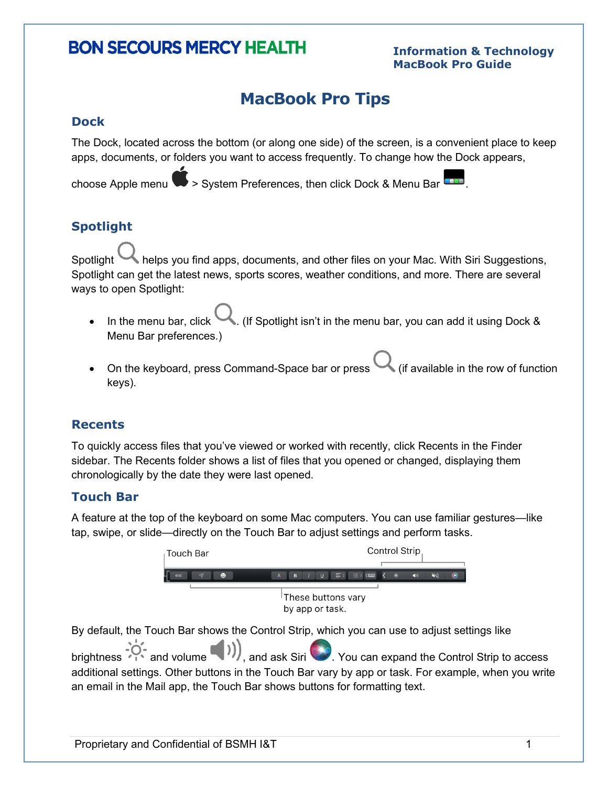# **BON SECOURS MERCY HEALTH**

#### **Information & Technology MacBook Pro Guide**

# **MacBook Pro Tips**

#### **Dock**

The Dock, located across the bottom (or along one side) of the screen, is a convenient place to keep apps, documents, or folders you want to access frequently. To change how the Dock appears,

choose Apple menu  $\blacktriangleright$  > System Preferences, then click Dock & Menu Bar  $\blacksquare$ .

# **Spotlight**

Spotlight helps you find apps, documents, and other files on your Mac. With Siri Suggestions, Spotlight can get the latest news, sports scores, weather conditions, and more. There are several ways to open Spotlight:

- In the menu bar, click  $\blacksquare$ . (If Spotlight isn't in the menu bar, you can add it using Dock & Menu Bar preferences.)
- On the keyboard, press Command-Space bar or press  $\sim$  (if available in the row of function keys).

### **Recents**

To quickly access files that you've viewed or worked with recently, click Recents in the Finder sidebar. The Recents folder shows a list of files that you opened or changed, displaying them chronologically by the date they were last opened.

### **Touch Bar**

A feature at the top of the keyboard on some Mac computers. You can use familiar gestures—like tap, swipe, or slide—directly on the Touch Bar to adjust settings and perform tasks.



By default, the Touch Bar shows the Control Strip, which you can use to adjust settings like

brightness  $\sim$  and volume  $\sim$   $\prime$ , and ask Siri  $\sim$  . You can expand the Control Strip to access additional settings. Other buttons in the Touch Bar vary by app or task. For example, when you write an email in the Mail app, the Touch Bar shows buttons for formatting text.